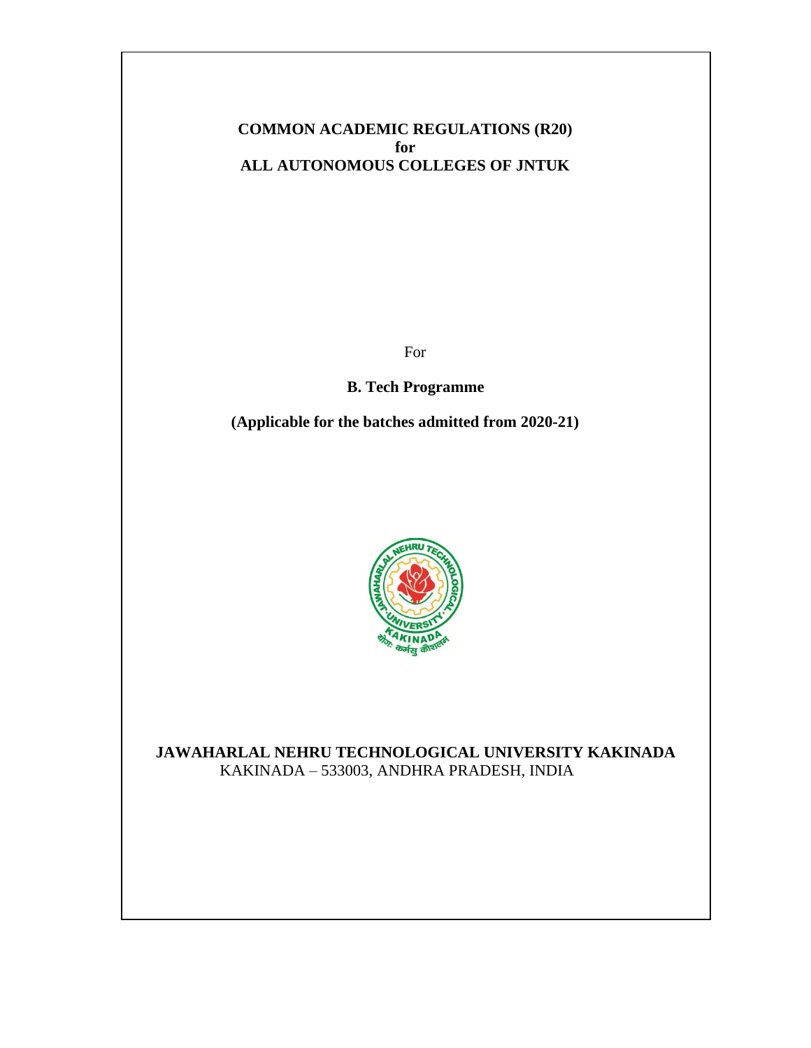### **COMMON ACADEMIC REGULATIONS (R20) for ALL AUTONOMOUS COLLEGES OF JNTUK**

For

#### **B. Tech Programme**

**(Applicable for the batches admitted from 2020-21)**



**JAWAHARLAL NEHRU TECHNOLOGICAL UNIVERSITY KAKINADA** KAKINADA – 533003, ANDHRA PRADESH, INDIA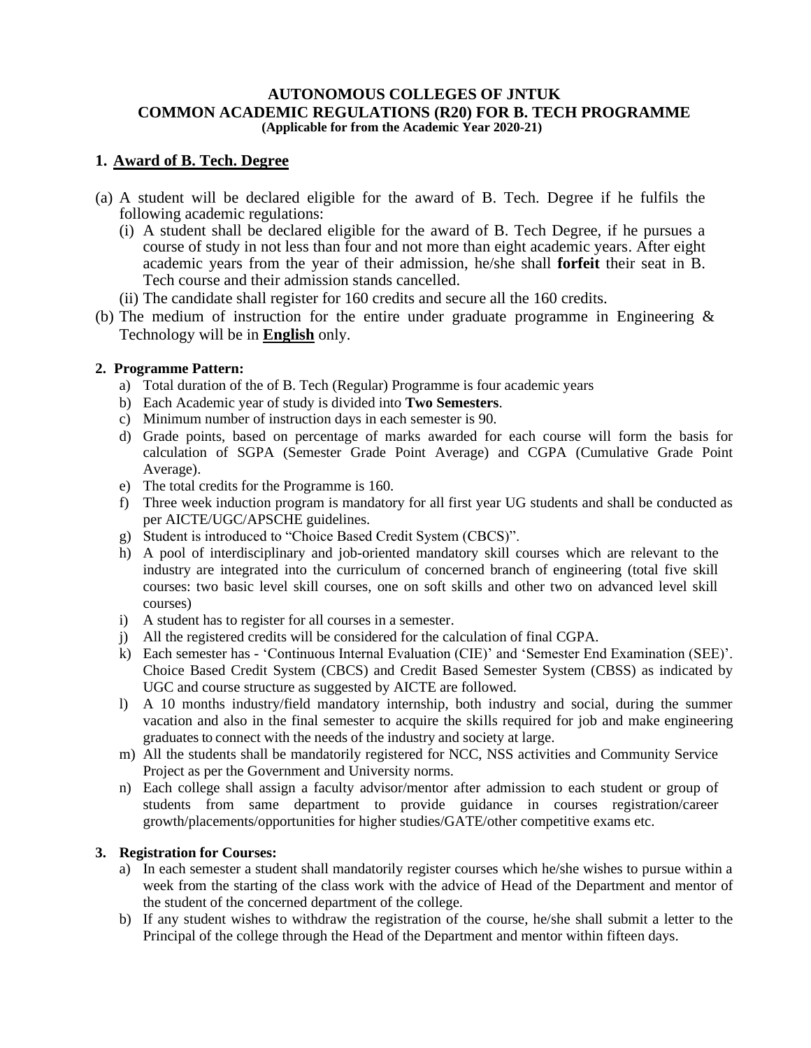#### **AUTONOMOUS COLLEGES OF JNTUK COMMON ACADEMIC REGULATIONS (R20) FOR B. TECH PROGRAMME (Applicable for from the Academic Year 2020-21)**

#### **1. Award of B. Tech. Degree**

- (a) A student will be declared eligible for the award of B. Tech. Degree if he fulfils the following academic regulations:
	- (i) A student shall be declared eligible for the award of B. Tech Degree, if he pursues a course of study in not less than four and not more than eight academic years. After eight academic years from the year of their admission, he/she shall **forfeit** their seat in B. Tech course and their admission stands cancelled.
	- (ii) The candidate shall register for 160 credits and secure all the 160 credits.
- (b) The medium of instruction for the entire under graduate programme in Engineering  $\&$ Technology will be in **English** only.

#### **2. Programme Pattern:**

- a) Total duration of the of B. Tech (Regular) Programme is four academic years
- b) Each Academic year of study is divided into **Two Semesters**.
- c) Minimum number of instruction days in each semester is 90.
- d) Grade points, based on percentage of marks awarded for each course will form the basis for calculation of SGPA (Semester Grade Point Average) and CGPA (Cumulative Grade Point Average).
- e) The total credits for the Programme is 160.
- f) Three week induction program is mandatory for all first year UG students and shall be conducted as per AICTE/UGC/APSCHE guidelines.
- g) Student is introduced to "Choice Based Credit System (CBCS)".
- h) A pool of interdisciplinary and job-oriented mandatory skill courses which are relevant to the industry are integrated into the curriculum of concerned branch of engineering (total five skill courses: two basic level skill courses, one on soft skills and other two on advanced level skill courses)
- i) A student has to register for all courses in a semester.
- j) All the registered credits will be considered for the calculation of final CGPA.
- k) Each semester has 'Continuous Internal Evaluation (CIE)' and 'Semester End Examination (SEE)'. Choice Based Credit System (CBCS) and Credit Based Semester System (CBSS) as indicated by UGC and course structure as suggested by AICTE are followed.
- l) A 10 months industry/field mandatory internship, both industry and social, during the summer vacation and also in the final semester to acquire the skills required for job and make engineering graduates to connect with the needs of the industry and society at large.
- m) All the students shall be mandatorily registered for NCC, NSS activities and Community Service Project as per the Government and University norms.
- n) Each college shall assign a faculty advisor/mentor after admission to each student or group of students from same department to provide guidance in courses registration/career growth/placements/opportunities for higher studies/GATE/other competitive exams etc.

#### **3. Registration for Courses:**

- a) In each semester a student shall mandatorily register courses which he/she wishes to pursue within a week from the starting of the class work with the advice of Head of the Department and mentor of the student of the concerned department of the college.
- b) If any student wishes to withdraw the registration of the course, he/she shall submit a letter to the Principal of the college through the Head of the Department and mentor within fifteen days.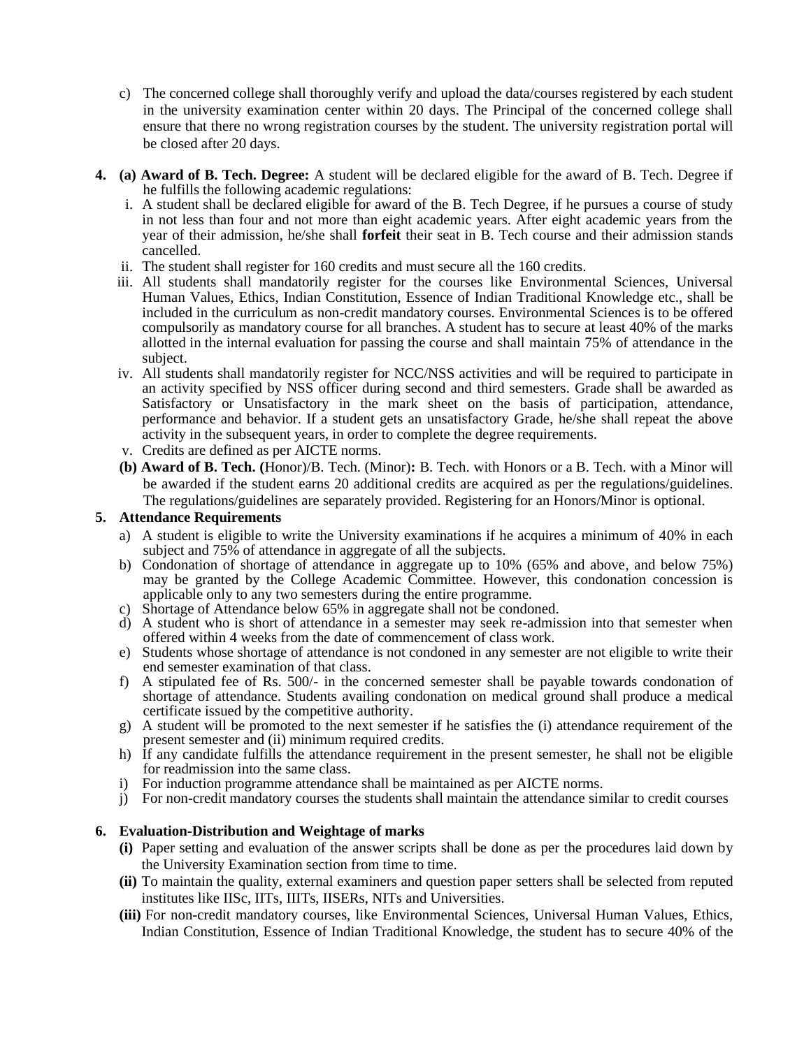- c) The concerned college shall thoroughly verify and upload the data/courses registered by each student in the university examination center within 20 days. The Principal of the concerned college shall ensure that there no wrong registration courses by the student. The university registration portal will be closed after 20 days.
- **4. (a) Award of B. Tech. Degree:** A student will be declared eligible for the award of B. Tech. Degree if he fulfills the following academic regulations:
	- i. A student shall be declared eligible for award of the B. Tech Degree, if he pursues a course of study in not less than four and not more than eight academic years. After eight academic years from the year of their admission, he/she shall **forfeit** their seat in B. Tech course and their admission stands cancelled.
	- ii. The student shall register for 160 credits and must secure all the 160 credits.
	- iii. All students shall mandatorily register for the courses like Environmental Sciences, Universal Human Values, Ethics, Indian Constitution, Essence of Indian Traditional Knowledge etc., shall be included in the curriculum as non-credit mandatory courses. Environmental Sciences is to be offered compulsorily as mandatory course for all branches. A student has to secure at least 40% of the marks allotted in the internal evaluation for passing the course and shall maintain 75% of attendance in the subject.
	- iv. All students shall mandatorily register for NCC/NSS activities and will be required to participate in an activity specified by NSS officer during second and third semesters. Grade shall be awarded as Satisfactory or Unsatisfactory in the mark sheet on the basis of participation, attendance, performance and behavior. If a student gets an unsatisfactory Grade, he/she shall repeat the above activity in the subsequent years, in order to complete the degree requirements.
	- v. Credits are defined as per AICTE norms.
	- **(b) Award of B. Tech. (**Honor)/B. Tech. (Minor)**:** B. Tech. with Honors or a B. Tech. with a Minor will be awarded if the student earns 20 additional credits are acquired as per the regulations/guidelines. The regulations/guidelines are separately provided. Registering for an Honors/Minor is optional.

#### **5. Attendance Requirements**

- a) A student is eligible to write the University examinations if he acquires a minimum of 40% in each subject and 75% of attendance in aggregate of all the subjects.
- b) Condonation of shortage of attendance in aggregate up to 10% (65% and above, and below 75%) may be granted by the College Academic Committee. However, this condonation concession is applicable only to any two semesters during the entire programme.
- c) Shortage of Attendance below 65% in aggregate shall not be condoned.
- d) A student who is short of attendance in a semester may seek re-admission into that semester when offered within 4 weeks from the date of commencement of class work.
- e) Students whose shortage of attendance is not condoned in any semester are not eligible to write their end semester examination of that class.
- f) A stipulated fee of Rs. 500/- in the concerned semester shall be payable towards condonation of shortage of attendance. Students availing condonation on medical ground shall produce a medical certificate issued by the competitive authority.
- g) A student will be promoted to the next semester if he satisfies the (i) attendance requirement of the present semester and (ii) minimum required credits.
- h) If any candidate fulfills the attendance requirement in the present semester, he shall not be eligible for readmission into the same class.
- i) For induction programme attendance shall be maintained as per AICTE norms.
- j) For non-credit mandatory courses the students shall maintain the attendance similar to credit courses

#### **6. Evaluation-Distribution and Weightage of marks**

- **(i)** Paper setting and evaluation of the answer scripts shall be done as per the procedures laid down by the University Examination section from time to time.
- **(ii)** To maintain the quality, external examiners and question paper setters shall be selected from reputed institutes like IISc, IITs, IIITs, IISERs, NITs and Universities.
- **(iii)** For non-credit mandatory courses, like Environmental Sciences, Universal Human Values, Ethics, Indian Constitution, Essence of Indian Traditional Knowledge, the student has to secure 40% of the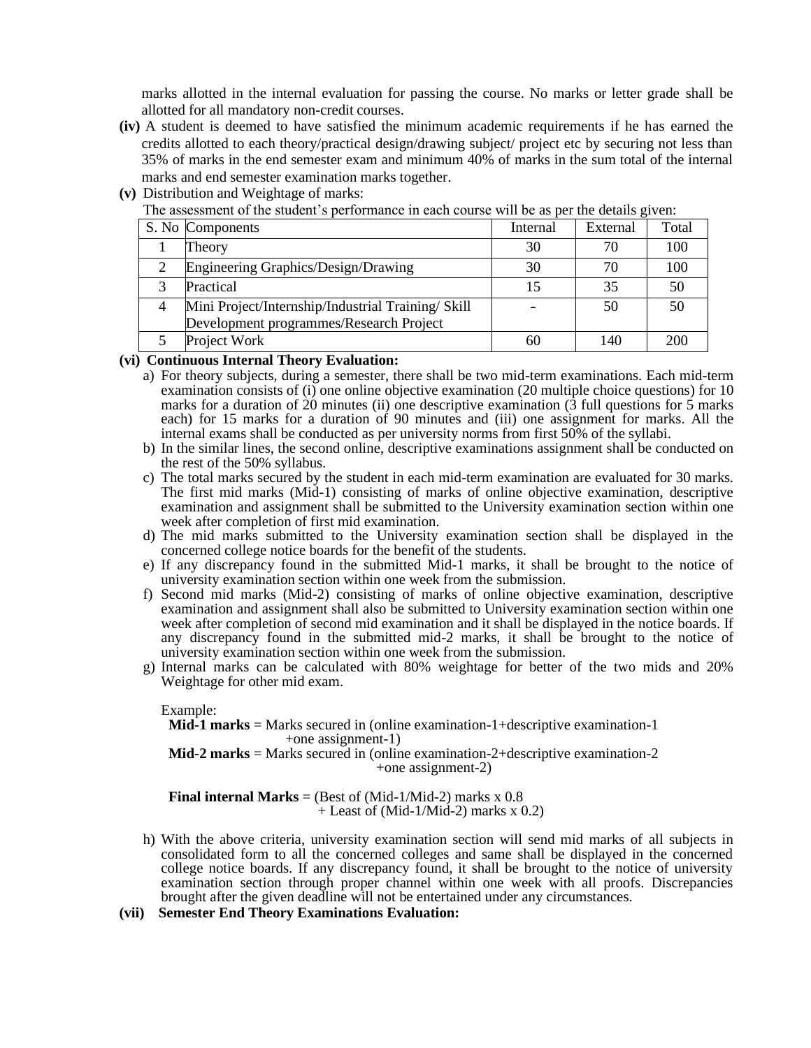marks allotted in the internal evaluation for passing the course. No marks or letter grade shall be allotted for all mandatory non-credit courses.

- **(iv)** A student is deemed to have satisfied the minimum academic requirements if he has earned the credits allotted to each theory/practical design/drawing subject/ project etc by securing not less than 35% of marks in the end semester exam and minimum 40% of marks in the sum total of the internal marks and end semester examination marks together.
- **(v)** Distribution and Weightage of marks:

| The woodbollent of the otwards o performance in each could with or ap per the actum) gradit |                                                                                               |          |          |       |
|---------------------------------------------------------------------------------------------|-----------------------------------------------------------------------------------------------|----------|----------|-------|
|                                                                                             | S. No Components                                                                              | Internal | External | Total |
|                                                                                             | Theory                                                                                        | 30       | 70       | 100   |
|                                                                                             | Engineering Graphics/Design/Drawing                                                           | 30       | 70       | 100   |
|                                                                                             | Practical                                                                                     | 15       | 35       | 50    |
|                                                                                             | Mini Project/Internship/Industrial Training/ Skill<br>Development programmes/Research Project |          | 50       | 50    |
|                                                                                             | Project Work                                                                                  | 60       | 140      | 200   |

The assessment of the student's performance in each course will be as per the details given:

#### **(vi) Continuous Internal Theory Evaluation:**

- a) For theory subjects, during a semester, there shall be two mid-term examinations. Each mid-term examination consists of (i) one online objective examination (20 multiple choice questions) for 10 marks for a duration of 20 minutes (ii) one descriptive examination  $(3 \text{ full questions for } 5 \text{ marks})$ each) for 15 marks for a duration of 90 minutes and (iii) one assignment for marks. All the internal exams shall be conducted as per university norms from first 50% of the syllabi.
- b) In the similar lines, the second online, descriptive examinations assignment shall be conducted on the rest of the 50% syllabus.
- c) The total marks secured by the student in each mid-term examination are evaluated for 30 marks. The first mid marks (Mid-1) consisting of marks of online objective examination, descriptive examination and assignment shall be submitted to the University examination section within one week after completion of first mid examination.
- d) The mid marks submitted to the University examination section shall be displayed in the concerned college notice boards for the benefit of the students.
- e) If any discrepancy found in the submitted Mid-1 marks, it shall be brought to the notice of university examination section within one week from the submission.
- f) Second mid marks (Mid-2) consisting of marks of online objective examination, descriptive examination and assignment shall also be submitted to University examination section within one week after completion of second mid examination and it shall be displayed in the notice boards. If any discrepancy found in the submitted mid-2 marks, it shall be brought to the notice of university examination section within one week from the submission.
- g) Internal marks can be calculated with 80% weightage for better of the two mids and 20% Weightage for other mid exam.

Example:

**Mid-1 marks** = Marks secured in (online examination-1+descriptive examination-1 +one assignment-1)

 **Mid-2 marks** = Marks secured in (online examination-2+descriptive examination-2 +one assignment-2)

 **Final internal Marks** = (Best of (Mid-1/Mid-2) marks x 0.8 + Least of (Mid-1/Mid-2) marks x 0.2)

- h) With the above criteria, university examination section will send mid marks of all subjects in consolidated form to all the concerned colleges and same shall be displayed in the concerned college notice boards. If any discrepancy found, it shall be brought to the notice of university examination section through proper channel within one week with all proofs. Discrepancies brought after the given deadline will not be entertained under any circumstances.
- **(vii) Semester End Theory Examinations Evaluation:**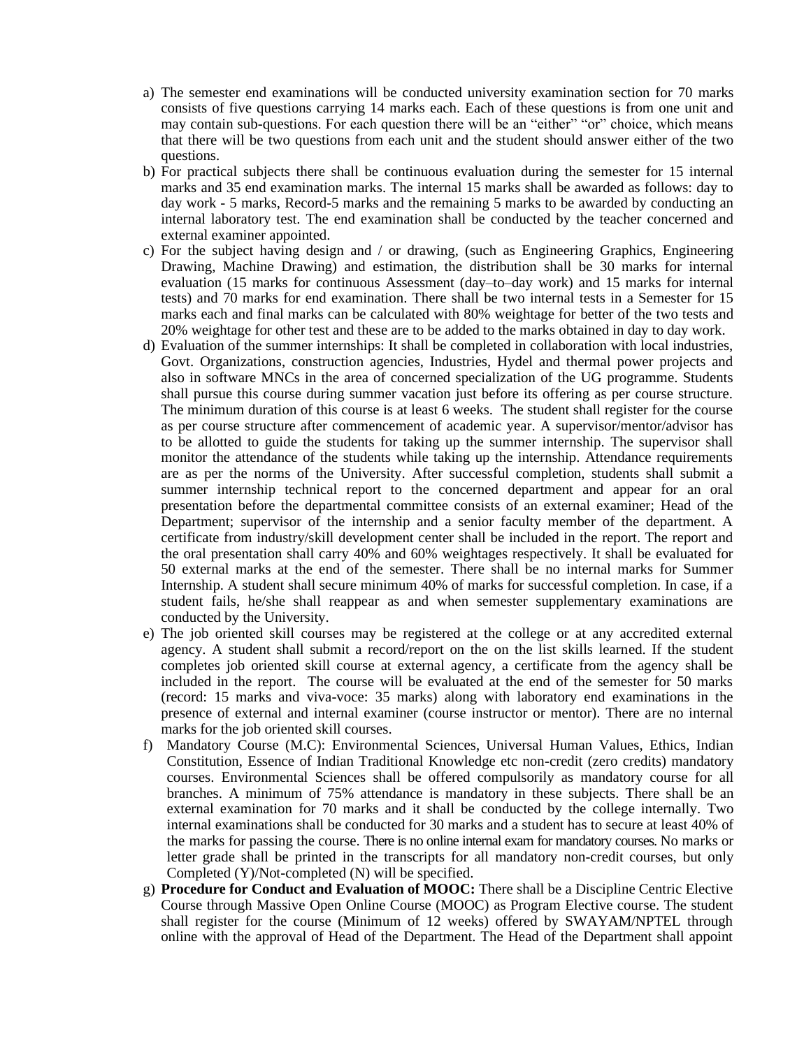- a) The semester end examinations will be conducted university examination section for 70 marks consists of five questions carrying 14 marks each. Each of these questions is from one unit and may contain sub-questions. For each question there will be an "either" "or" choice, which means that there will be two questions from each unit and the student should answer either of the two questions.
- b) For practical subjects there shall be continuous evaluation during the semester for 15 internal marks and 35 end examination marks. The internal 15 marks shall be awarded as follows: day to day work - 5 marks, Record-5 marks and the remaining 5 marks to be awarded by conducting an internal laboratory test. The end examination shall be conducted by the teacher concerned and external examiner appointed.
- c) For the subject having design and / or drawing, (such as Engineering Graphics, Engineering Drawing, Machine Drawing) and estimation, the distribution shall be 30 marks for internal evaluation (15 marks for continuous Assessment (day–to–day work) and 15 marks for internal tests) and 70 marks for end examination. There shall be two internal tests in a Semester for 15 marks each and final marks can be calculated with 80% weightage for better of the two tests and 20% weightage for other test and these are to be added to the marks obtained in day to day work.
- d) Evaluation of the summer internships: It shall be completed in collaboration with local industries, Govt. Organizations, construction agencies, Industries, Hydel and thermal power projects and also in software MNCs in the area of concerned specialization of the UG programme. Students shall pursue this course during summer vacation just before its offering as per course structure. The minimum duration of this course is at least 6 weeks. The student shall register for the course as per course structure after commencement of academic year. A supervisor/mentor/advisor has to be allotted to guide the students for taking up the summer internship. The supervisor shall monitor the attendance of the students while taking up the internship. Attendance requirements are as per the norms of the University. After successful completion, students shall submit a summer internship technical report to the concerned department and appear for an oral presentation before the departmental committee consists of an external examiner; Head of the Department; supervisor of the internship and a senior faculty member of the department. A certificate from industry/skill development center shall be included in the report. The report and the oral presentation shall carry 40% and 60% weightages respectively. It shall be evaluated for 50 external marks at the end of the semester. There shall be no internal marks for Summer Internship. A student shall secure minimum 40% of marks for successful completion. In case, if a student fails, he/she shall reappear as and when semester supplementary examinations are conducted by the University.
- e) The job oriented skill courses may be registered at the college or at any accredited external agency. A student shall submit a record/report on the on the list skills learned. If the student completes job oriented skill course at external agency, a certificate from the agency shall be included in the report. The course will be evaluated at the end of the semester for 50 marks (record: 15 marks and viva-voce: 35 marks) along with laboratory end examinations in the presence of external and internal examiner (course instructor or mentor). There are no internal marks for the job oriented skill courses.
- f) Mandatory Course (M.C): Environmental Sciences, Universal Human Values, Ethics, Indian Constitution, Essence of Indian Traditional Knowledge etc non-credit (zero credits) mandatory courses. Environmental Sciences shall be offered compulsorily as mandatory course for all branches. A minimum of 75% attendance is mandatory in these subjects. There shall be an external examination for 70 marks and it shall be conducted by the college internally. Two internal examinations shall be conducted for 30 marks and a student has to secure at least 40% of the marks for passing the course. There is no online internal exam for mandatory courses. No marks or letter grade shall be printed in the transcripts for all mandatory non-credit courses, but only Completed (Y)/Not-completed (N) will be specified.
- g) **Procedure for Conduct and Evaluation of MOOC:** There shall be a Discipline Centric Elective Course through Massive Open Online Course (MOOC) as Program Elective course. The student shall register for the course (Minimum of 12 weeks) offered by SWAYAM/NPTEL through online with the approval of Head of the Department. The Head of the Department shall appoint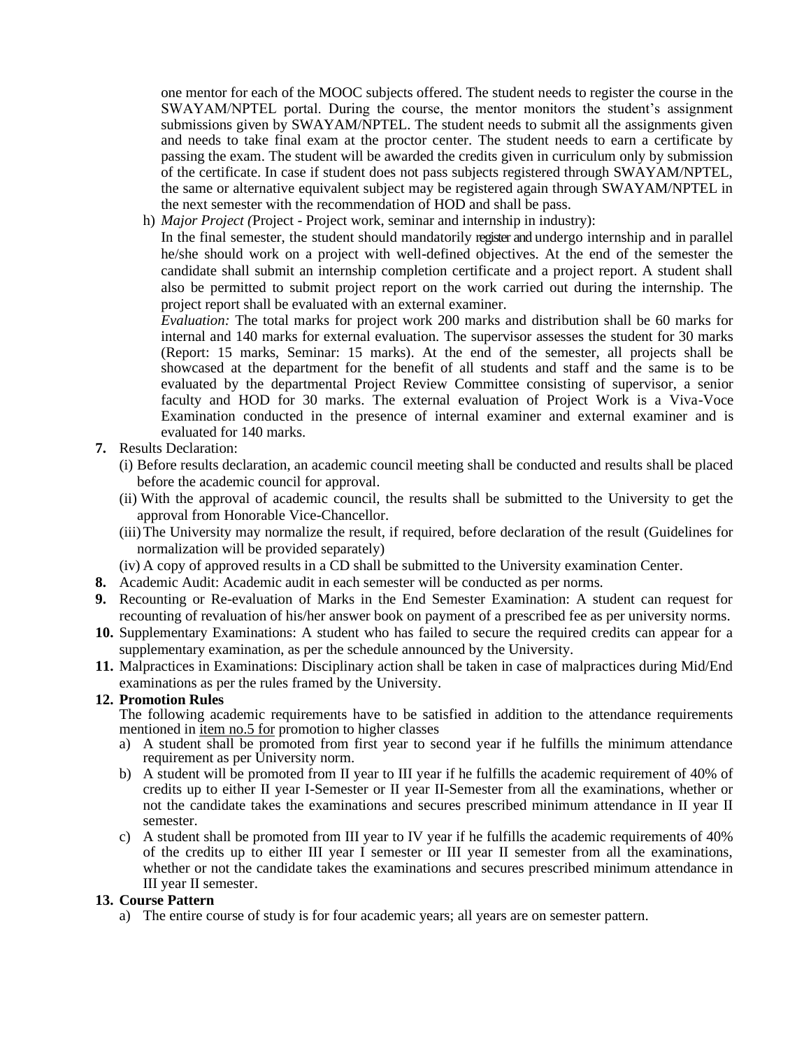one mentor for each of the MOOC subjects offered. The student needs to register the course in the SWAYAM/NPTEL portal. During the course, the mentor monitors the student's assignment submissions given by SWAYAM/NPTEL. The student needs to submit all the assignments given and needs to take final exam at the proctor center. The student needs to earn a certificate by passing the exam. The student will be awarded the credits given in curriculum only by submission of the certificate. In case if student does not pass subjects registered through SWAYAM/NPTEL, the same or alternative equivalent subject may be registered again through SWAYAM/NPTEL in the next semester with the recommendation of HOD and shall be pass.

h) *Major Project (*Project - Project work, seminar and internship in industry):

In the final semester, the student should mandatorily register and undergo internship and in parallel he/she should work on a project with well-defined objectives. At the end of the semester the candidate shall submit an internship completion certificate and a project report. A student shall also be permitted to submit project report on the work carried out during the internship. The project report shall be evaluated with an external examiner.

*Evaluation:* The total marks for project work 200 marks and distribution shall be 60 marks for internal and 140 marks for external evaluation. The supervisor assesses the student for 30 marks (Report: 15 marks, Seminar: 15 marks). At the end of the semester, all projects shall be showcased at the department for the benefit of all students and staff and the same is to be evaluated by the departmental Project Review Committee consisting of supervisor, a senior faculty and HOD for 30 marks. The external evaluation of Project Work is a Viva-Voce Examination conducted in the presence of internal examiner and external examiner and is evaluated for 140 marks.

- **7.** Results Declaration:
	- (i) Before results declaration, an academic council meeting shall be conducted and results shall be placed before the academic council for approval.
	- (ii) With the approval of academic council, the results shall be submitted to the University to get the approval from Honorable Vice-Chancellor.
	- (iii)The University may normalize the result, if required, before declaration of the result (Guidelines for normalization will be provided separately)

(iv) A copy of approved results in a CD shall be submitted to the University examination Center.

- **8.** Academic Audit: Academic audit in each semester will be conducted as per norms.
- **9.** Recounting or Re-evaluation of Marks in the End Semester Examination: A student can request for recounting of revaluation of his/her answer book on payment of a prescribed fee as per university norms.
- **10.** Supplementary Examinations: A student who has failed to secure the required credits can appear for a supplementary examination, as per the schedule announced by the University.
- **11.** Malpractices in Examinations: Disciplinary action shall be taken in case of malpractices during Mid/End examinations as per the rules framed by the University.

#### **12. Promotion Rules**

The following academic requirements have to be satisfied in addition to the attendance requirements mentioned in item no.5 for promotion to higher classes

- a) A student shall be promoted from first year to second year if he fulfills the minimum attendance requirement as per University norm.
- b) A student will be promoted from II year to III year if he fulfills the academic requirement of 40% of credits up to either II year I-Semester or II year II-Semester from all the examinations, whether or not the candidate takes the examinations and secures prescribed minimum attendance in II year II semester.
- c) A student shall be promoted from III year to IV year if he fulfills the academic requirements of 40% of the credits up to either III year I semester or III year II semester from all the examinations, whether or not the candidate takes the examinations and secures prescribed minimum attendance in III year II semester.

#### **13. Course Pattern**

a) The entire course of study is for four academic years; all years are on semester pattern.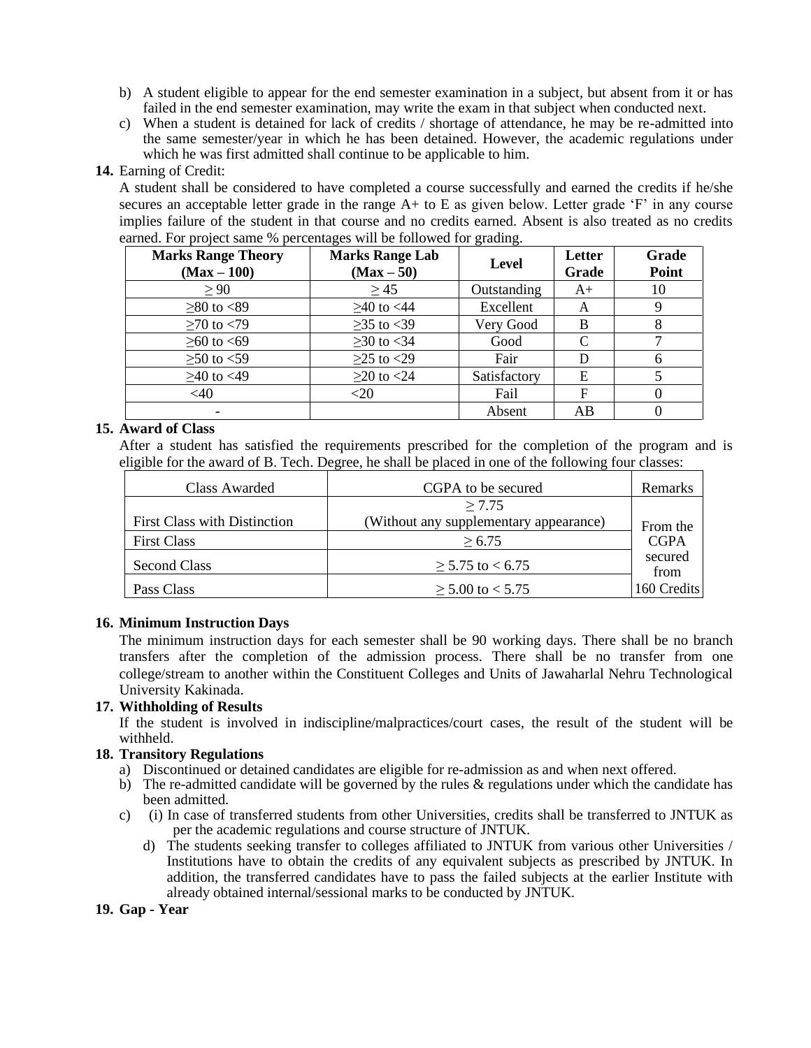- b) A student eligible to appear for the end semester examination in a subject, but absent from it or has failed in the end semester examination, may write the exam in that subject when conducted next.
- c) When a student is detained for lack of credits / shortage of attendance, he may be re-admitted into the same semester/year in which he has been detained. However, the academic regulations under which he was first admitted shall continue to be applicable to him.

#### **14.** Earning of Credit:

A student shall be considered to have completed a course successfully and earned the credits if he/she secures an acceptable letter grade in the range  $A+$  to E as given below. Letter grade 'F' in any course implies failure of the student in that course and no credits earned. Absent is also treated as no credits earned. For project same % percentages will be followed for grading.

| <b>Marks Range Theory</b><br>$(Max-100)$ | <b>Marks Range Lab</b><br>$(Max - 50)$ | Level        | Letter<br>Grade | Grade<br>Point |
|------------------------------------------|----------------------------------------|--------------|-----------------|----------------|
| $\geq 90$                                | > 45                                   | Outstanding  | $A+$            | 10             |
| $≥80$ to <89                             | $>40$ to $<44$                         | Excellent    | A               |                |
| $≥70$ to $<79$                           | $≥35$ to $<39$                         | Very Good    | B               |                |
| $≥60$ to <69                             | $>30$ to $<34$                         | Good         |                 |                |
| $>50$ to $<59$                           | $>25$ to $<29$                         | Fair         |                 |                |
| $≥40$ to <49                             | $>20$ to $<24$                         | Satisfactory | E               |                |
| $<$ 40                                   | <20                                    | Fail         | F               |                |
|                                          |                                        | Absent       | AB              |                |

#### **15. Award of Class**

After a student has satisfied the requirements prescribed for the completion of the program and is eligible for the award of B. Tech. Degree, he shall be placed in one of the following four classes:

| Class Awarded                       | CGPA to be secured                     | Remarks         |
|-------------------------------------|----------------------------------------|-----------------|
|                                     | > 7.75                                 |                 |
| <b>First Class with Distinction</b> | (Without any supplementary appearance) | From the        |
| <b>First Class</b>                  | > 6.75                                 | <b>CGPA</b>     |
| Second Class                        | $\geq 5.75$ to $< 6.75$                | secured<br>from |
| Pass Class                          | $\geq 5.00$ to $< 5.75$                | 160 Credits     |

#### **16. Minimum Instruction Days**

The minimum instruction days for each semester shall be 90 working days. There shall be no branch transfers after the completion of the admission process. There shall be no transfer from one college/stream to another within the Constituent Colleges and Units of Jawaharlal Nehru Technological University Kakinada.

#### **17. Withholding of Results**

If the student is involved in indiscipline/malpractices/court cases, the result of the student will be withheld.

#### **18. Transitory Regulations**

- a) Discontinued or detained candidates are eligible for re-admission as and when next offered.
- b) The re-admitted candidate will be governed by the rules  $\&$  regulations under which the candidate has been admitted.
- c) (i) In case of transferred students from other Universities, credits shall be transferred to JNTUK as per the academic regulations and course structure of JNTUK.
	- d) The students seeking transfer to colleges affiliated to JNTUK from various other Universities / Institutions have to obtain the credits of any equivalent subjects as prescribed by JNTUK. In addition, the transferred candidates have to pass the failed subjects at the earlier Institute with already obtained internal/sessional marks to be conducted by JNTUK.

#### **19. Gap - Year**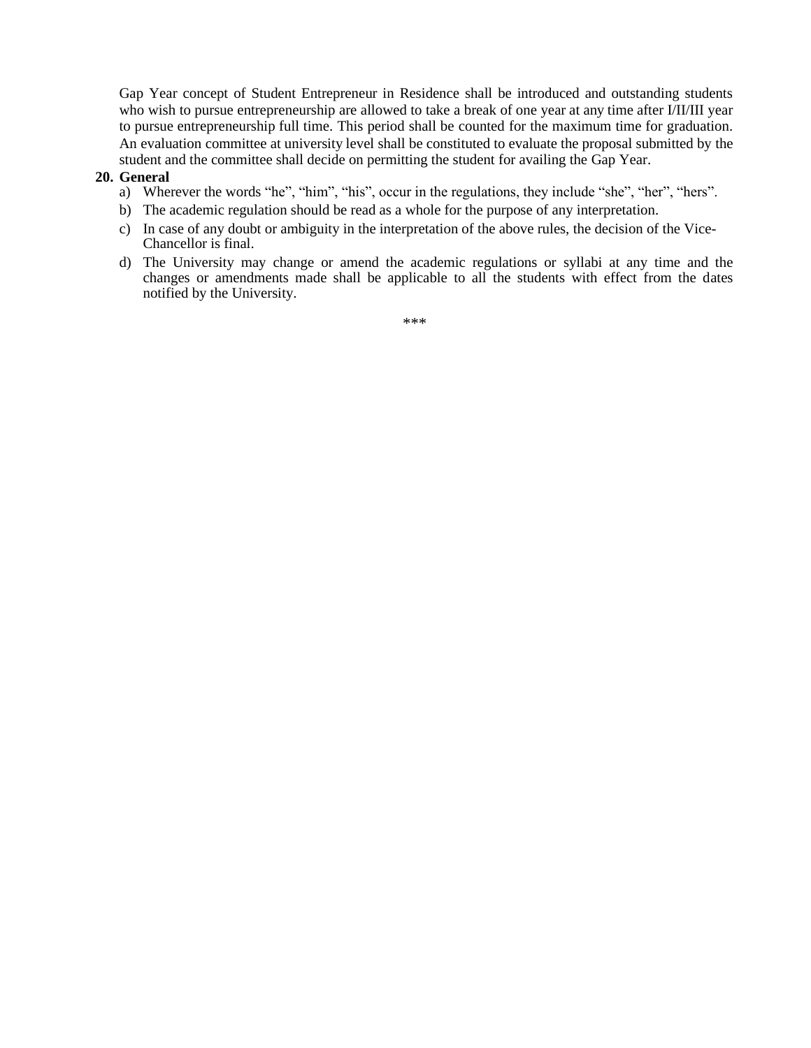Gap Year concept of Student Entrepreneur in Residence shall be introduced and outstanding students who wish to pursue entrepreneurship are allowed to take a break of one year at any time after I/II/III year to pursue entrepreneurship full time. This period shall be counted for the maximum time for graduation. An evaluation committee at university level shall be constituted to evaluate the proposal submitted by the student and the committee shall decide on permitting the student for availing the Gap Year.

#### **20. General**

- a) Wherever the words "he", "him", "his", occur in the regulations, they include "she", "her", "hers".
- b) The academic regulation should be read as a whole for the purpose of any interpretation.
- c) In case of any doubt or ambiguity in the interpretation of the above rules, the decision of the Vice-Chancellor is final.
- d) The University may change or amend the academic regulations or syllabi at any time and the changes or amendments made shall be applicable to all the students with effect from the dates notified by the University.

\*\*\*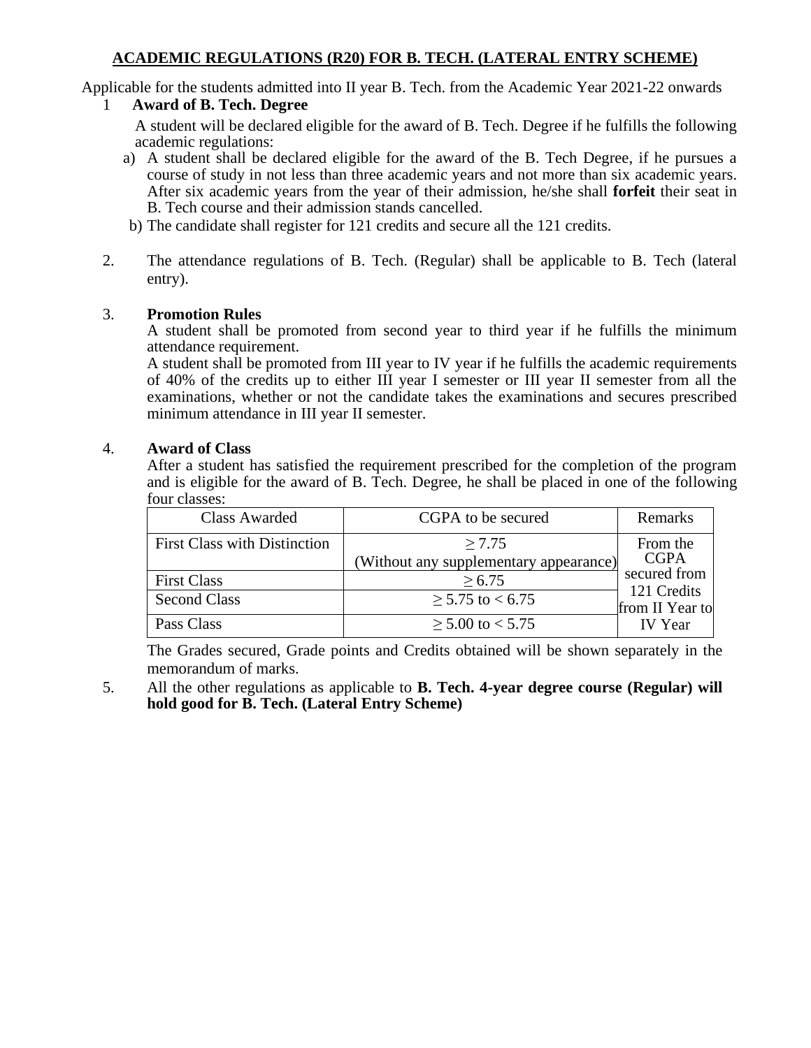## **ACADEMIC REGULATIONS (R20) FOR B. TECH. (LATERAL ENTRY SCHEME)**

Applicable for the students admitted into II year B. Tech. from the Academic Year 2021-22 onwards

1 **Award of B. Tech. Degree**

A student will be declared eligible for the award of B. Tech. Degree if he fulfills the following academic regulations:

- a) A student shall be declared eligible for the award of the B. Tech Degree, if he pursues a course of study in not less than three academic years and not more than six academic years. After six academic years from the year of their admission, he/she shall **forfeit** their seat in B. Tech course and their admission stands cancelled.
- b) The candidate shall register for 121 credits and secure all the 121 credits.
- 2. The attendance regulations of B. Tech. (Regular) shall be applicable to B. Tech (lateral entry).

#### 3. **Promotion Rules**

A student shall be promoted from second year to third year if he fulfills the minimum attendance requirement.

A student shall be promoted from III year to IV year if he fulfills the academic requirements of 40% of the credits up to either III year I semester or III year II semester from all the examinations, whether or not the candidate takes the examinations and secures prescribed minimum attendance in III year II semester.

#### 4. **Award of Class**

After a student has satisfied the requirement prescribed for the completion of the program and is eligible for the award of B. Tech. Degree, he shall be placed in one of the following four classes:

| Class Awarded                       | CGPA to be secured                     | Remarks                        |  |
|-------------------------------------|----------------------------------------|--------------------------------|--|
| <b>First Class with Distinction</b> | > 7.75                                 | From the                       |  |
|                                     | (Without any supplementary appearance) | <b>CGPA</b>                    |  |
| <b>First Class</b>                  | $\geq 6.75$                            | secured from                   |  |
| <b>Second Class</b>                 | $\geq$ 5.75 to < 6.75                  | 121 Credits<br>from II Year to |  |
| Pass Class                          | $\geq 5.00$ to < 5.75                  | <b>IV</b> Year                 |  |

The Grades secured, Grade points and Credits obtained will be shown separately in the memorandum of marks.

5. All the other regulations as applicable to **B. Tech. 4-year degree course (Regular) will hold good for B. Tech. (Lateral Entry Scheme)**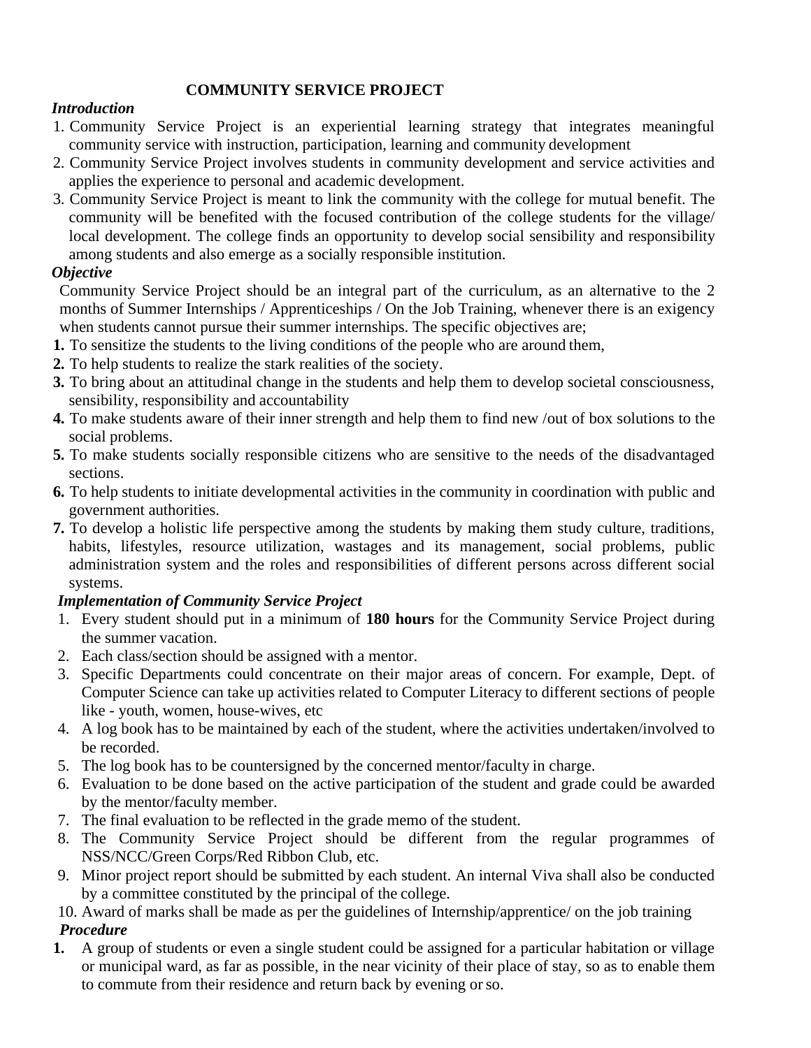### **COMMUNITY SERVICE PROJECT**

## *Introduction*

- 1. Community Service Project is an experiential learning strategy that integrates meaningful community service with instruction, participation, learning and community development
- 2. Community Service Project involves students in community development and service activities and applies the experience to personal and academic development.
- 3. Community Service Project is meant to link the community with the college for mutual benefit. The community will be benefited with the focused contribution of the college students for the village/ local development. The college finds an opportunity to develop social sensibility and responsibility among students and also emerge as a socially responsible institution.

## *Objective*

Community Service Project should be an integral part of the curriculum, as an alternative to the 2 months of Summer Internships / Apprenticeships / On the Job Training, whenever there is an exigency when students cannot pursue their summer internships. The specific objectives are;

- **1.** To sensitize the students to the living conditions of the people who are around them,
- **2.** To help students to realize the stark realities of the society.
- **3.** To bring about an attitudinal change in the students and help them to develop societal consciousness, sensibility, responsibility and accountability
- **4.** To make students aware of their inner strength and help them to find new /out of box solutions to the social problems.
- **5.** To make students socially responsible citizens who are sensitive to the needs of the disadvantaged sections.
- **6.** To help students to initiate developmental activities in the community in coordination with public and government authorities.
- **7.** To develop a holistic life perspective among the students by making them study culture, traditions, habits, lifestyles, resource utilization, wastages and its management, social problems, public administration system and the roles and responsibilities of different persons across different social systems.

## *Implementation of Community Service Project*

- 1. Every student should put in a minimum of **180 hours** for the Community Service Project during the summer vacation.
- 2. Each class/section should be assigned with a mentor.
- 3. Specific Departments could concentrate on their major areas of concern. For example, Dept. of Computer Science can take up activities related to Computer Literacy to different sections of people like - youth, women, house-wives, etc
- 4. A log book has to be maintained by each of the student, where the activities undertaken/involved to be recorded.
- 5. The log book has to be countersigned by the concerned mentor/faculty in charge.
- 6. Evaluation to be done based on the active participation of the student and grade could be awarded by the mentor/faculty member.
- 7. The final evaluation to be reflected in the grade memo of the student.
- 8. The Community Service Project should be different from the regular programmes of NSS/NCC/Green Corps/Red Ribbon Club, etc.
- 9. Minor project report should be submitted by each student. An internal Viva shall also be conducted by a committee constituted by the principal of the college.

## 10. Award of marks shall be made as per the guidelines of Internship/apprentice/ on the job training *Procedure*

**1.** A group of students or even a single student could be assigned for a particular habitation or village or municipal ward, as far as possible, in the near vicinity of their place of stay, so as to enable them to commute from their residence and return back by evening orso.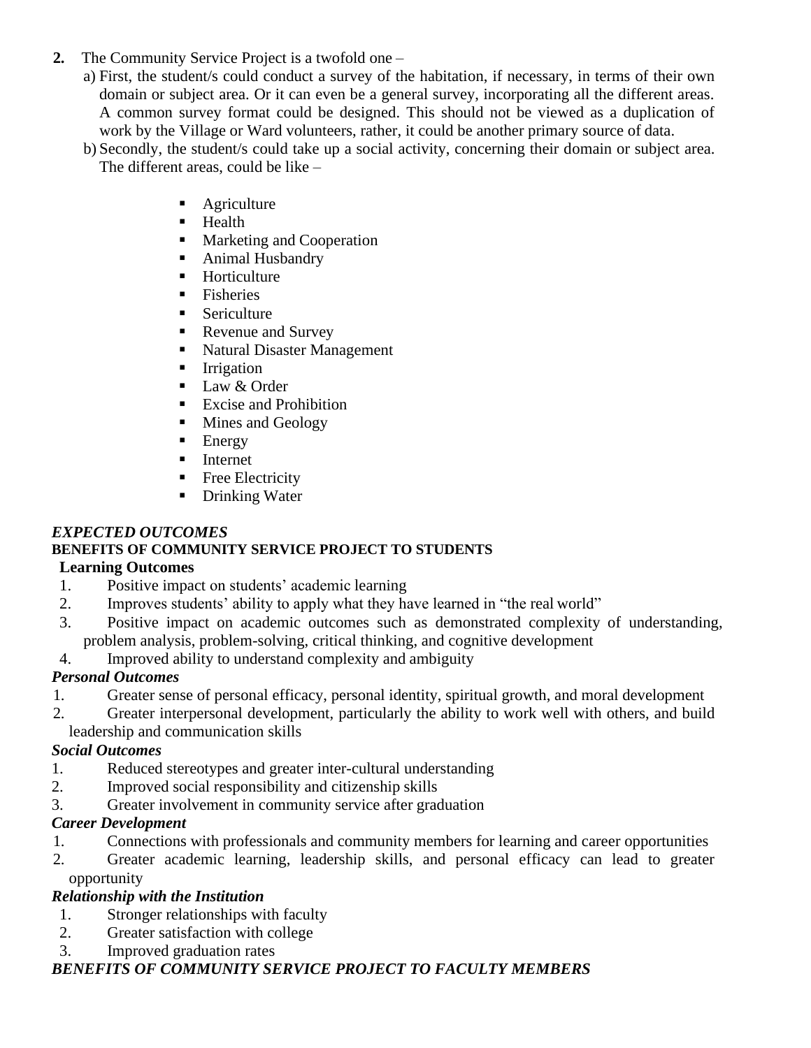- **2.** The Community Service Project is a twofold one
	- a) First, the student/s could conduct a survey of the habitation, if necessary, in terms of their own domain or subject area. Or it can even be a general survey, incorporating all the different areas. A common survey format could be designed. This should not be viewed as a duplication of work by the Village or Ward volunteers, rather, it could be another primary source of data.
	- b) Secondly, the student/s could take up a social activity, concerning their domain or subject area. The different areas, could be like –
		- Agriculture
		- Health
		- Marketing and Cooperation
		- Animal Husbandry
		- **Horticulture**
		- Fisheries
		- Sericulture
		- Revenue and Survey
		- Natural Disaster Management
		- **Irrigation**
		- Law & Order
		- Excise and Prohibition
		- Mines and Geology
		- Energy
		- Internet
		- **•** Free Electricity
		- Drinking Water

#### *EXPECTED OUTCOMES* **BENEFITS OF COMMUNITY SERVICE PROJECT TO STUDENTS**

## **Learning Outcomes**

- 1. Positive impact on students' academic learning
- 2. Improves students' ability to apply what they have learned in "the real world"
- 3. Positive impact on academic outcomes such as demonstrated complexity of understanding, problem analysis, problem-solving, critical thinking, and cognitive development
- 4. Improved ability to understand complexity and ambiguity

## *Personal Outcomes*

- 1. Greater sense of personal efficacy, personal identity, spiritual growth, and moral development
- 2. Greater interpersonal development, particularly the ability to work well with others, and build leadership and communication skills

## *Social Outcomes*

- 1. Reduced stereotypes and greater inter-cultural understanding
- 2. Improved social responsibility and citizenship skills
- 3. Greater involvement in community service after graduation

#### *Career Development*

- 1. Connections with professionals and community members for learning and career opportunities
- 2. Greater academic learning, leadership skills, and personal efficacy can lead to greater opportunity

## *Relationship with the Institution*

- 1. Stronger relationships with faculty
- 2. Greater satisfaction with college
- 3. Improved graduation rates

## *BENEFITS OF COMMUNITY SERVICE PROJECT TO FACULTY MEMBERS*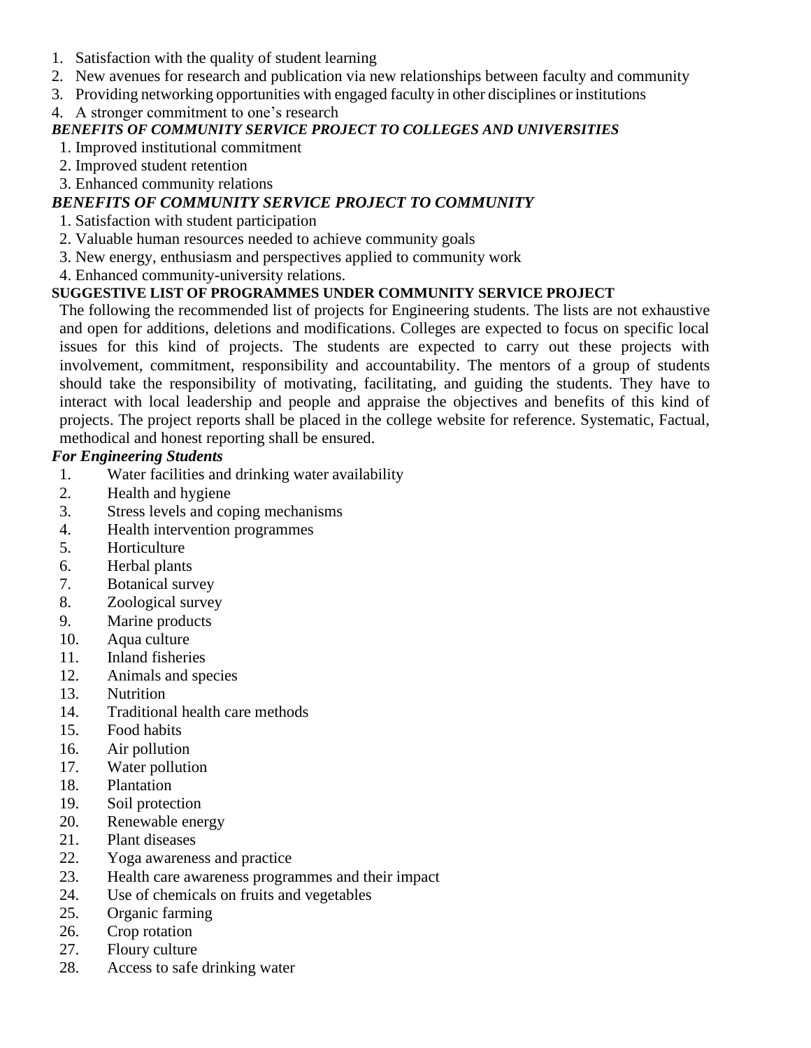- 1. Satisfaction with the quality of student learning
- 2. New avenues for research and publication via new relationships between faculty and community
- 3. Providing networking opportunities with engaged faculty in other disciplines or institutions
- 4. A stronger commitment to one's research

## *BENEFITS OF COMMUNITY SERVICE PROJECT TO COLLEGES AND UNIVERSITIES*

- 1. Improved institutional commitment
- 2. Improved student retention
- 3. Enhanced community relations

## *BENEFITS OF COMMUNITY SERVICE PROJECT TO COMMUNITY*

- 1. Satisfaction with student participation
- 2. Valuable human resources needed to achieve community goals
- 3. New energy, enthusiasm and perspectives applied to community work
- 4. Enhanced community-university relations.

## **SUGGESTIVE LIST OF PROGRAMMES UNDER COMMUNITY SERVICE PROJECT**

The following the recommended list of projects for Engineering students. The lists are not exhaustive and open for additions, deletions and modifications. Colleges are expected to focus on specific local issues for this kind of projects. The students are expected to carry out these projects with involvement, commitment, responsibility and accountability. The mentors of a group of students should take the responsibility of motivating, facilitating, and guiding the students. They have to interact with local leadership and people and appraise the objectives and benefits of this kind of projects. The project reports shall be placed in the college website for reference. Systematic, Factual, methodical and honest reporting shall be ensured.

## *For Engineering Students*

- 1. Water facilities and drinking water availability
- 2. Health and hygiene
- 3. Stress levels and coping mechanisms
- 4. Health intervention programmes
- 5. Horticulture
- 6. Herbal plants
- 7. Botanical survey
- 8. Zoological survey
- 9. Marine products
- 10. Aqua culture
- 11. Inland fisheries
- 12. Animals and species
- 13. Nutrition
- 14. Traditional health care methods
- 15. Food habits
- 16. Air pollution
- 17. Water pollution
- 18. Plantation
- 19. Soil protection
- 20. Renewable energy
- 21. Plant diseases
- 22. Yoga awareness and practice
- 23. Health care awareness programmes and their impact
- 24. Use of chemicals on fruits and vegetables
- 25. Organic farming
- 26. Crop rotation
- 27. Floury culture
- 28. Access to safe drinking water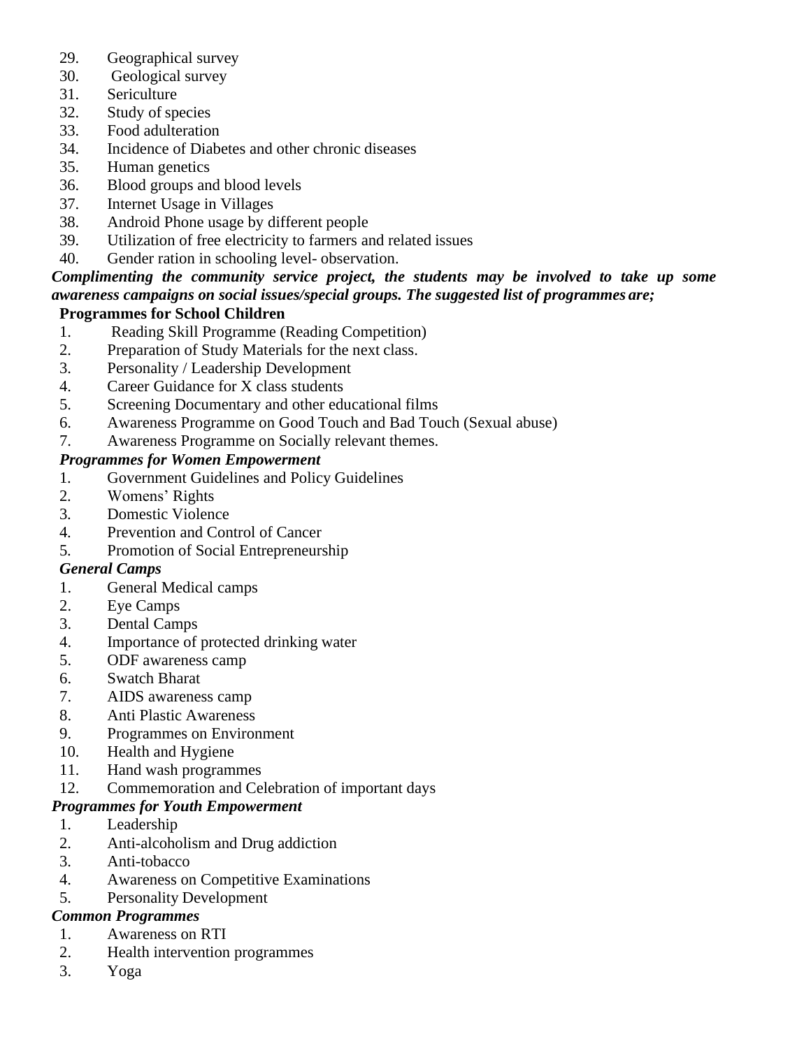- 29. Geographical survey
- 30. Geological survey
- 31. Sericulture
- 32. Study of species
- 33. Food adulteration
- 34. Incidence of Diabetes and other chronic diseases
- 35. Human genetics
- 36. Blood groups and blood levels
- 37. Internet Usage in Villages
- 38. Android Phone usage by different people
- 39. Utilization of free electricity to farmers and related issues
- 40. Gender ration in schooling level- observation.

# *Complimenting the community service project, the students may be involved to take up some awareness campaigns on social issues/special groups. The suggested list of programmes are;*

## **Programmes for School Children**

- 1. Reading Skill Programme (Reading Competition)
- 2. Preparation of Study Materials for the next class.
- 3. Personality / Leadership Development
- 4. Career Guidance for X class students
- 5. Screening Documentary and other educational films
- 6. Awareness Programme on Good Touch and Bad Touch (Sexual abuse)
- 7. Awareness Programme on Socially relevant themes.

## *Programmes for Women Empowerment*

- 1. Government Guidelines and Policy Guidelines
- 2. Womens' Rights
- 3. Domestic Violence
- 4. Prevention and Control of Cancer
- 5. Promotion of Social Entrepreneurship

## *General Camps*

- 1. General Medical camps
- 2. Eye Camps
- 3. Dental Camps
- 4. Importance of protected drinking water
- 5. ODF awareness camp
- 6. Swatch Bharat
- 7. AIDS awareness camp
- 8. Anti Plastic Awareness
- 9. Programmes on Environment
- 10. Health and Hygiene
- 11. Hand wash programmes
- 12. Commemoration and Celebration of important days

## *Programmes for Youth Empowerment*

- 1. Leadership
- 2. Anti-alcoholism and Drug addiction
- 3. Anti-tobacco
- 4. Awareness on Competitive Examinations
- 5. Personality Development

## *Common Programmes*

- 1. Awareness on RTI
- 2. Health intervention programmes
- 3. Yoga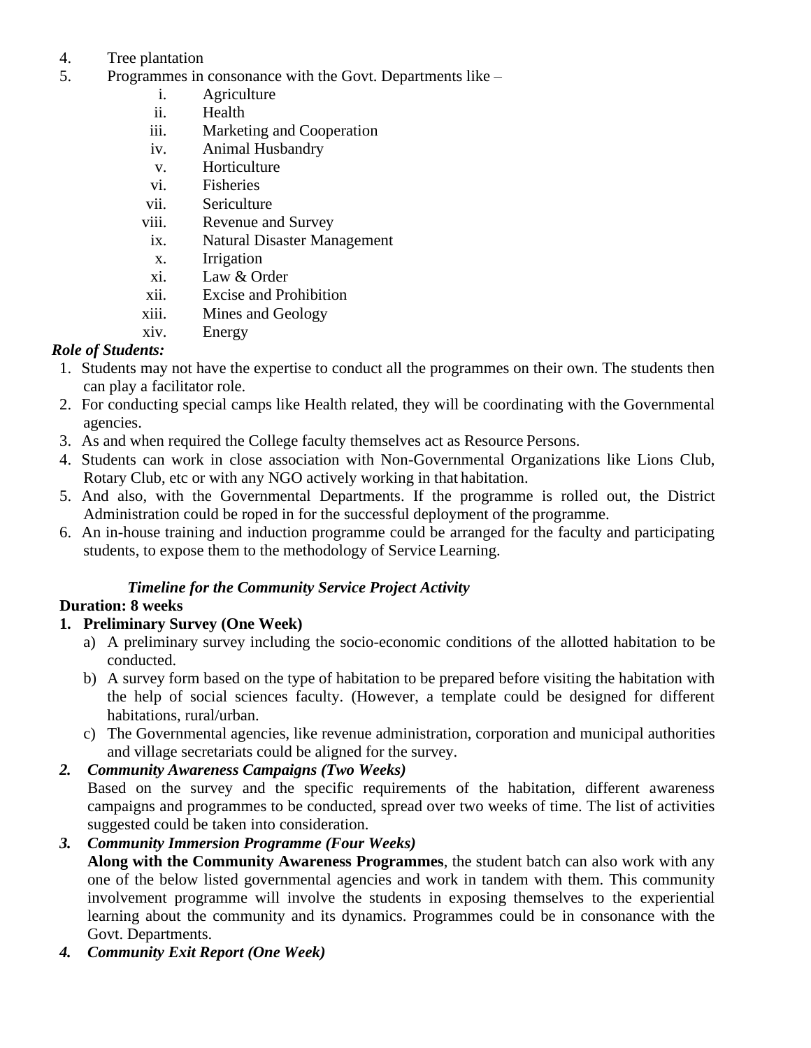- 4. Tree plantation
- 5. Programmes in consonance with the Govt. Departments like
	- i. Agriculture
	- ii. Health
	- iii. Marketing and Cooperation
	- iv. Animal Husbandry
	- v. Horticulture
	- vi. Fisheries
	- vii. Sericulture
	- viii. Revenue and Survey
	- ix. Natural Disaster Management
	- x. Irrigation
	- xi. Law & Order
	- xii. Excise and Prohibition
	- xiii. Mines and Geology
	- xiv. Energy

## *Role of Students:*

- 1. Students may not have the expertise to conduct all the programmes on their own. The students then can play a facilitator role.
- 2. For conducting special camps like Health related, they will be coordinating with the Governmental agencies.
- 3. As and when required the College faculty themselves act as Resource Persons.
- 4. Students can work in close association with Non-Governmental Organizations like Lions Club, Rotary Club, etc or with any NGO actively working in that habitation.
- 5. And also, with the Governmental Departments. If the programme is rolled out, the District Administration could be roped in for the successful deployment of the programme.
- 6. An in-house training and induction programme could be arranged for the faculty and participating students, to expose them to the methodology of Service Learning.

## *Timeline for the Community Service Project Activity*

#### **Duration: 8 weeks**

## **1. Preliminary Survey (One Week)**

- a) A preliminary survey including the socio-economic conditions of the allotted habitation to be conducted.
- b) A survey form based on the type of habitation to be prepared before visiting the habitation with the help of social sciences faculty. (However, a template could be designed for different habitations, rural/urban.
- c) The Governmental agencies, like revenue administration, corporation and municipal authorities and village secretariats could be aligned for the survey.
- *2. Community Awareness Campaigns (Two Weeks)*

Based on the survey and the specific requirements of the habitation, different awareness campaigns and programmes to be conducted, spread over two weeks of time. The list of activities suggested could be taken into consideration.

*3. Community Immersion Programme (Four Weeks)*

**Along with the Community Awareness Programmes**, the student batch can also work with any one of the below listed governmental agencies and work in tandem with them. This community involvement programme will involve the students in exposing themselves to the experiential learning about the community and its dynamics. Programmes could be in consonance with the Govt. Departments.

*4. Community Exit Report (One Week)*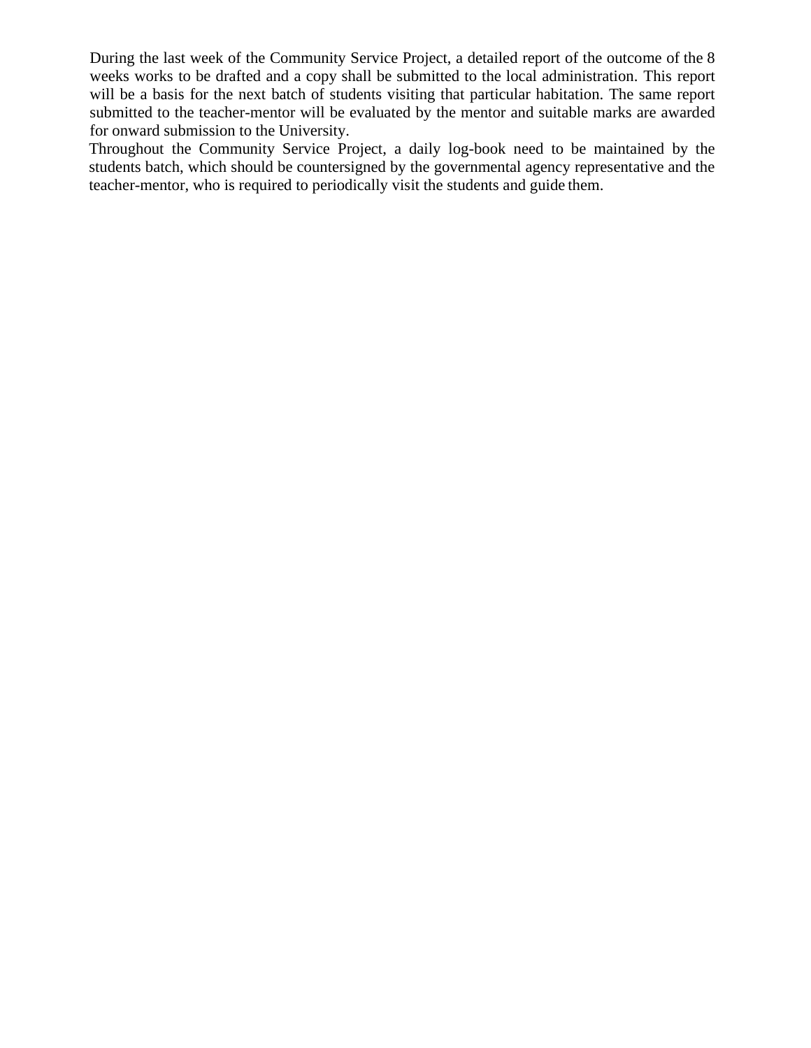During the last week of the Community Service Project, a detailed report of the outcome of the 8 weeks works to be drafted and a copy shall be submitted to the local administration. This report will be a basis for the next batch of students visiting that particular habitation. The same report submitted to the teacher-mentor will be evaluated by the mentor and suitable marks are awarded for onward submission to the University.

Throughout the Community Service Project, a daily log-book need to be maintained by the students batch, which should be countersigned by the governmental agency representative and the teacher-mentor, who is required to periodically visit the students and guide them.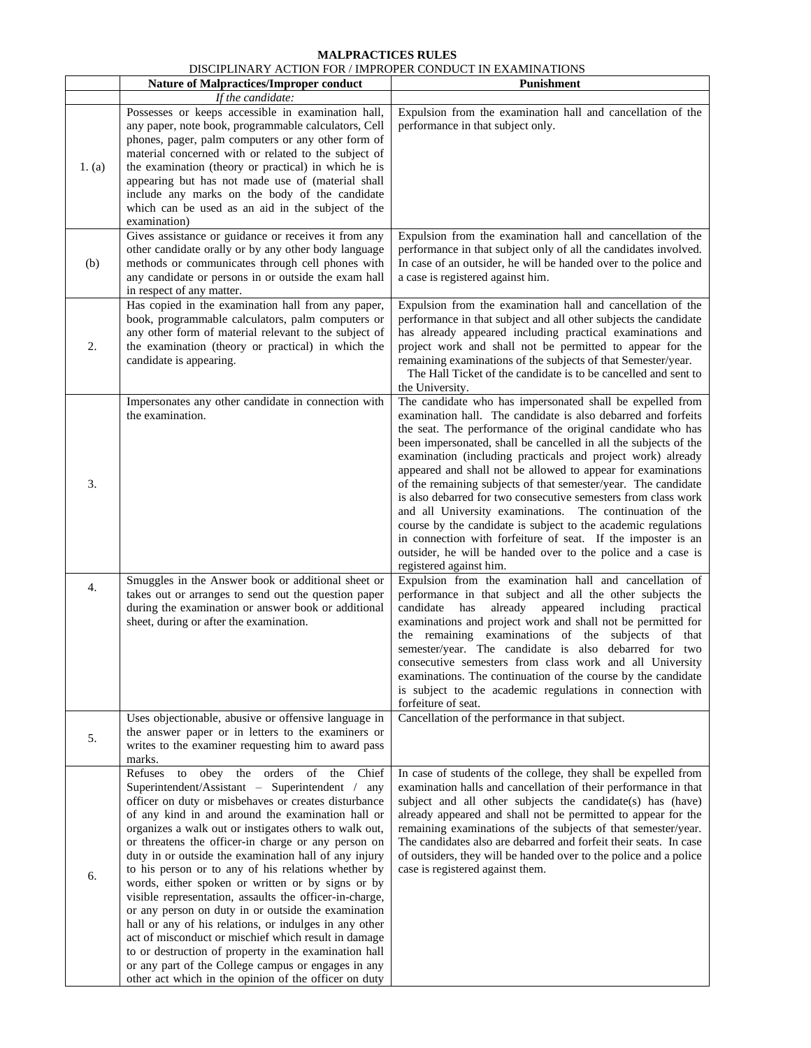#### **MALPRACTICES RULES**

#### DISCIPLINARY ACTION FOR / IMPROPER CONDUCT IN EXAMINATIONS

|        | <b>Nature of Malpractices/Improper conduct</b>                                                                                                                                                                                                                                                                                                                                                                                                                                                                                                                                                                                                                                                                                                                                                                                                                                                                            | Punishment                                                                                                                                                                                                                                                                                                                                                                                                                                                                                                                                                                                                                                                                                                                                                                                                                |
|--------|---------------------------------------------------------------------------------------------------------------------------------------------------------------------------------------------------------------------------------------------------------------------------------------------------------------------------------------------------------------------------------------------------------------------------------------------------------------------------------------------------------------------------------------------------------------------------------------------------------------------------------------------------------------------------------------------------------------------------------------------------------------------------------------------------------------------------------------------------------------------------------------------------------------------------|---------------------------------------------------------------------------------------------------------------------------------------------------------------------------------------------------------------------------------------------------------------------------------------------------------------------------------------------------------------------------------------------------------------------------------------------------------------------------------------------------------------------------------------------------------------------------------------------------------------------------------------------------------------------------------------------------------------------------------------------------------------------------------------------------------------------------|
|        | If the candidate:                                                                                                                                                                                                                                                                                                                                                                                                                                                                                                                                                                                                                                                                                                                                                                                                                                                                                                         |                                                                                                                                                                                                                                                                                                                                                                                                                                                                                                                                                                                                                                                                                                                                                                                                                           |
| 1. (a) | Possesses or keeps accessible in examination hall,<br>any paper, note book, programmable calculators, Cell<br>phones, pager, palm computers or any other form of<br>material concerned with or related to the subject of<br>the examination (theory or practical) in which he is<br>appearing but has not made use of (material shall<br>include any marks on the body of the candidate<br>which can be used as an aid in the subject of the<br>examination)                                                                                                                                                                                                                                                                                                                                                                                                                                                              | Expulsion from the examination hall and cancellation of the<br>performance in that subject only.                                                                                                                                                                                                                                                                                                                                                                                                                                                                                                                                                                                                                                                                                                                          |
| (b)    | Gives assistance or guidance or receives it from any<br>other candidate orally or by any other body language<br>methods or communicates through cell phones with<br>any candidate or persons in or outside the exam hall<br>in respect of any matter.                                                                                                                                                                                                                                                                                                                                                                                                                                                                                                                                                                                                                                                                     | Expulsion from the examination hall and cancellation of the<br>performance in that subject only of all the candidates involved.<br>In case of an outsider, he will be handed over to the police and<br>a case is registered against him.                                                                                                                                                                                                                                                                                                                                                                                                                                                                                                                                                                                  |
| 2.     | Has copied in the examination hall from any paper,<br>book, programmable calculators, palm computers or<br>any other form of material relevant to the subject of<br>the examination (theory or practical) in which the<br>candidate is appearing.                                                                                                                                                                                                                                                                                                                                                                                                                                                                                                                                                                                                                                                                         | Expulsion from the examination hall and cancellation of the<br>performance in that subject and all other subjects the candidate<br>has already appeared including practical examinations and<br>project work and shall not be permitted to appear for the<br>remaining examinations of the subjects of that Semester/year.<br>The Hall Ticket of the candidate is to be cancelled and sent to<br>the University.                                                                                                                                                                                                                                                                                                                                                                                                          |
| 3.     | Impersonates any other candidate in connection with<br>the examination.                                                                                                                                                                                                                                                                                                                                                                                                                                                                                                                                                                                                                                                                                                                                                                                                                                                   | The candidate who has impersonated shall be expelled from<br>examination hall. The candidate is also debarred and forfeits<br>the seat. The performance of the original candidate who has<br>been impersonated, shall be cancelled in all the subjects of the<br>examination (including practicals and project work) already<br>appeared and shall not be allowed to appear for examinations<br>of the remaining subjects of that semester/year. The candidate<br>is also debarred for two consecutive semesters from class work<br>and all University examinations. The continuation of the<br>course by the candidate is subject to the academic regulations<br>in connection with forfeiture of seat. If the imposter is an<br>outsider, he will be handed over to the police and a case is<br>registered against him. |
| 4.     | Smuggles in the Answer book or additional sheet or<br>takes out or arranges to send out the question paper<br>during the examination or answer book or additional<br>sheet, during or after the examination.                                                                                                                                                                                                                                                                                                                                                                                                                                                                                                                                                                                                                                                                                                              | Expulsion from the examination hall and cancellation of<br>performance in that subject and all the other subjects the<br>candidate<br>has<br>already<br>appeared<br>including<br>practical<br>examinations and project work and shall not be permitted for<br>the remaining examinations of the subjects of that<br>semester/year. The candidate is also debarred for two<br>consecutive semesters from class work and all University<br>examinations. The continuation of the course by the candidate<br>is subject to the academic regulations in connection with<br>forfeiture of seat.                                                                                                                                                                                                                                |
| 5.     | Uses objectionable, abusive or offensive language in<br>the answer paper or in letters to the examiners or<br>writes to the examiner requesting him to award pass<br>marks.                                                                                                                                                                                                                                                                                                                                                                                                                                                                                                                                                                                                                                                                                                                                               | Cancellation of the performance in that subject.                                                                                                                                                                                                                                                                                                                                                                                                                                                                                                                                                                                                                                                                                                                                                                          |
| 6.     | obey<br>the orders of the<br>Refuses<br>Chief<br>to<br>Superintendent/Assistant - Superintendent /<br>any<br>officer on duty or misbehaves or creates disturbance<br>of any kind in and around the examination hall or<br>organizes a walk out or instigates others to walk out,<br>or threatens the officer-in charge or any person on<br>duty in or outside the examination hall of any injury<br>to his person or to any of his relations whether by<br>words, either spoken or written or by signs or by<br>visible representation, assaults the officer-in-charge,<br>or any person on duty in or outside the examination<br>hall or any of his relations, or indulges in any other<br>act of misconduct or mischief which result in damage<br>to or destruction of property in the examination hall<br>or any part of the College campus or engages in any<br>other act which in the opinion of the officer on duty | In case of students of the college, they shall be expelled from<br>examination halls and cancellation of their performance in that<br>subject and all other subjects the candidate(s) has (have)<br>already appeared and shall not be permitted to appear for the<br>remaining examinations of the subjects of that semester/year.<br>The candidates also are debarred and forfeit their seats. In case<br>of outsiders, they will be handed over to the police and a police<br>case is registered against them.                                                                                                                                                                                                                                                                                                          |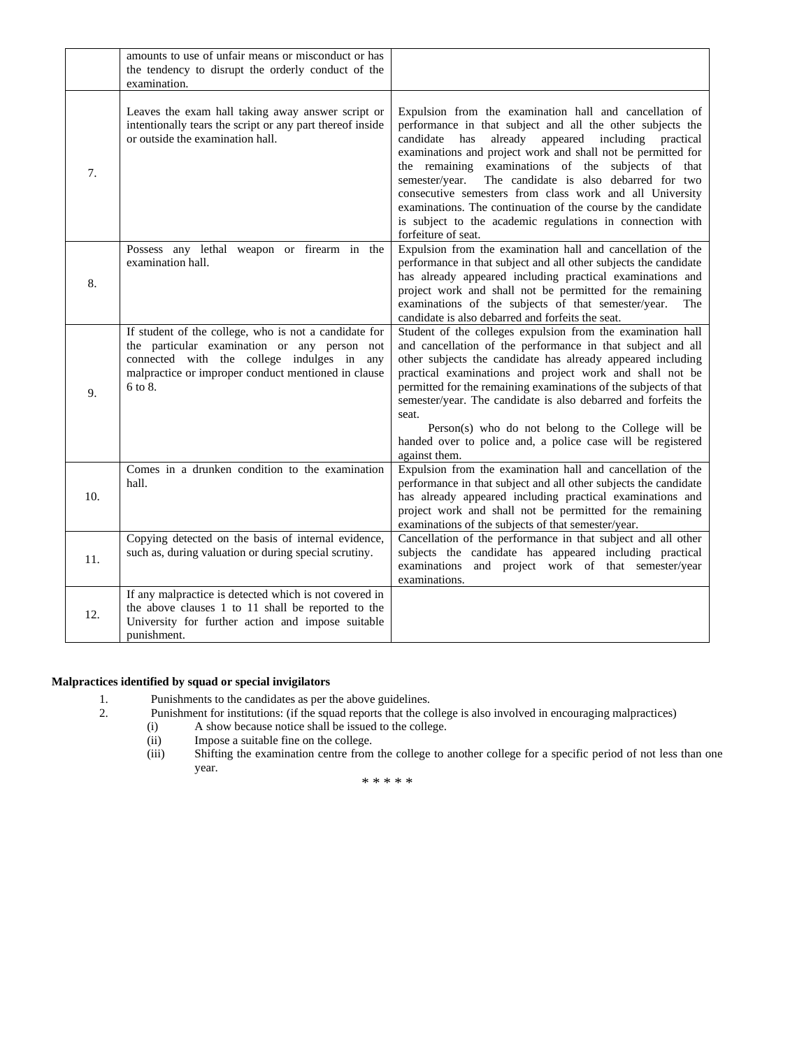|     | amounts to use of unfair means or misconduct or has<br>the tendency to disrupt the orderly conduct of the<br>examination.                                                                                             |                                                                                                                                                                                                                                                                                                                                                                                                                                                                                                                                                                                      |
|-----|-----------------------------------------------------------------------------------------------------------------------------------------------------------------------------------------------------------------------|--------------------------------------------------------------------------------------------------------------------------------------------------------------------------------------------------------------------------------------------------------------------------------------------------------------------------------------------------------------------------------------------------------------------------------------------------------------------------------------------------------------------------------------------------------------------------------------|
| 7.  | Leaves the exam hall taking away answer script or<br>intentionally tears the script or any part thereof inside<br>or outside the examination hall.                                                                    | Expulsion from the examination hall and cancellation of<br>performance in that subject and all the other subjects the<br>has<br>already appeared including practical<br>candidate<br>examinations and project work and shall not be permitted for<br>the remaining examinations of the subjects of that<br>The candidate is also debarred for two<br>semester/year.<br>consecutive semesters from class work and all University<br>examinations. The continuation of the course by the candidate<br>is subject to the academic regulations in connection with<br>forfeiture of seat. |
| 8.  | Possess any lethal weapon or firearm in the<br>examination hall.                                                                                                                                                      | Expulsion from the examination hall and cancellation of the<br>performance in that subject and all other subjects the candidate<br>has already appeared including practical examinations and<br>project work and shall not be permitted for the remaining<br>examinations of the subjects of that semester/year.<br>The<br>candidate is also debarred and forfeits the seat.                                                                                                                                                                                                         |
| 9.  | If student of the college, who is not a candidate for<br>the particular examination or any person not<br>connected with the college indulges in any<br>malpractice or improper conduct mentioned in clause<br>6 to 8. | Student of the colleges expulsion from the examination hall<br>and cancellation of the performance in that subject and all<br>other subjects the candidate has already appeared including<br>practical examinations and project work and shall not be<br>permitted for the remaining examinations of the subjects of that<br>semester/year. The candidate is also debarred and forfeits the<br>seat.<br>Person(s) who do not belong to the College will be<br>handed over to police and, a police case will be registered<br>against them.                                           |
| 10. | Comes in a drunken condition to the examination<br>hall.                                                                                                                                                              | Expulsion from the examination hall and cancellation of the<br>performance in that subject and all other subjects the candidate<br>has already appeared including practical examinations and<br>project work and shall not be permitted for the remaining<br>examinations of the subjects of that semester/year.                                                                                                                                                                                                                                                                     |
| 11. | Copying detected on the basis of internal evidence,<br>such as, during valuation or during special scrutiny.                                                                                                          | Cancellation of the performance in that subject and all other<br>subjects the candidate has appeared including practical<br>examinations and project work of that semester/year<br>examinations.                                                                                                                                                                                                                                                                                                                                                                                     |
| 12. | If any malpractice is detected which is not covered in<br>the above clauses 1 to 11 shall be reported to the<br>University for further action and impose suitable<br>punishment.                                      |                                                                                                                                                                                                                                                                                                                                                                                                                                                                                                                                                                                      |

#### **Malpractices identified by squad or special invigilators**

- 1. Punishments to the candidates as per the above guidelines.<br>2. Punishment for institutions: (if the squad reports that the co
- 2. Punishment for institutions: (if the squad reports that the college is also involved in encouraging malpractices)
	- (i) A show because notice shall be issued to the college.
	- (ii) Impose a suitable fine on the college.
	- (iii) Shifting the examination centre from the college to another college for a specific period of not less than one year.

\* \* \* \* \*